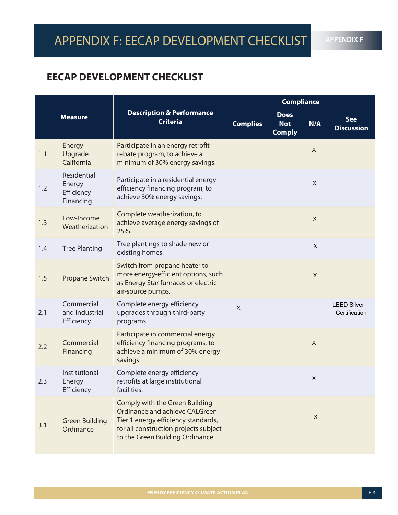**APPENDIX F**

### **EECAP DEVELOPMENT CHECKLIST**

| <b>Measure</b> |                                                  | <b>Description &amp; Performance</b><br><b>Criteria</b>                                                                                                                              | <b>Compliance</b> |                                            |              |                                     |  |
|----------------|--------------------------------------------------|--------------------------------------------------------------------------------------------------------------------------------------------------------------------------------------|-------------------|--------------------------------------------|--------------|-------------------------------------|--|
|                |                                                  |                                                                                                                                                                                      | <b>Complies</b>   | <b>Does</b><br><b>Not</b><br><b>Comply</b> | N/A          | <b>See</b><br><b>Discussion</b>     |  |
| 1.1            | Energy<br>Upgrade<br>California                  | Participate in an energy retrofit<br>rebate program, to achieve a<br>minimum of 30% energy savings.                                                                                  |                   |                                            | $\mathsf{X}$ |                                     |  |
| 1.2            | Residential<br>Energy<br>Efficiency<br>Financing | Participate in a residential energy<br>efficiency financing program, to<br>achieve 30% energy savings.                                                                               |                   |                                            | $\mathsf{X}$ |                                     |  |
| 1.3            | Low-Income<br>Weatherization                     | Complete weatherization, to<br>achieve average energy savings of<br>25%.                                                                                                             |                   |                                            | $\mathsf{X}$ |                                     |  |
| 1.4            | <b>Tree Planting</b>                             | Tree plantings to shade new or<br>existing homes.                                                                                                                                    |                   |                                            | $\mathsf{X}$ |                                     |  |
| 1.5            | Propane Switch                                   | Switch from propane heater to<br>more energy-efficient options, such<br>as Energy Star furnaces or electric<br>air-source pumps.                                                     |                   |                                            | $\mathsf{X}$ |                                     |  |
| 2.1            | Commercial<br>and Industrial<br>Efficiency       | Complete energy efficiency<br>upgrades through third-party<br>programs.                                                                                                              | $\times$          |                                            |              | <b>LEED Silver</b><br>Certification |  |
| 2.2            | Commercial<br>Financing                          | Participate in commercial energy<br>efficiency financing programs, to<br>achieve a minimum of 30% energy<br>savings.                                                                 |                   |                                            | $\mathsf{X}$ |                                     |  |
| 2.3            | Institutional<br>Energy<br>Efficiency            | Complete energy efficiency<br>retrofits at large institutional<br>facilities.                                                                                                        |                   |                                            | $\times$     |                                     |  |
| 3.1            | <b>Green Building</b><br>Ordinance               | Comply with the Green Building<br>Ordinance and achieve CALGreen<br>Tier 1 energy efficiency standards,<br>for all construction projects subject<br>to the Green Building Ordinance. |                   |                                            | X            |                                     |  |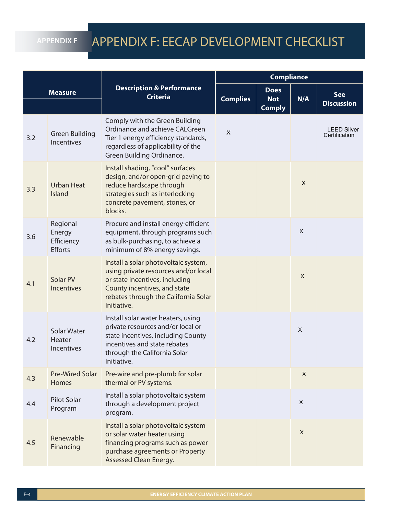#### **APPENDIX F**

### APPENDIX F: EECAP DEVELOPMENT CHECKLIST

| <b>Measure</b> |                                                    | <b>Description &amp; Performance</b><br><b>Criteria</b>                                                                                                                                               | <b>Compliance</b> |                                            |              |                                     |
|----------------|----------------------------------------------------|-------------------------------------------------------------------------------------------------------------------------------------------------------------------------------------------------------|-------------------|--------------------------------------------|--------------|-------------------------------------|
|                |                                                    |                                                                                                                                                                                                       | <b>Complies</b>   | <b>Does</b><br><b>Not</b><br><b>Comply</b> | N/A          | <b>See</b><br><b>Discussion</b>     |
| 3.2            | <b>Green Building</b><br>Incentives                | Comply with the Green Building<br>Ordinance and achieve CALGreen<br>Tier 1 energy efficiency standards,<br>regardless of applicability of the<br>Green Building Ordinance.                            | X                 |                                            |              | <b>LEED Silver</b><br>Certification |
| 3.3            | <b>Urban Heat</b><br>Island                        | Install shading, "cool" surfaces<br>design, and/or open-grid paving to<br>reduce hardscape through<br>strategies such as interlocking<br>concrete pavement, stones, or<br>blocks.                     |                   |                                            | X            |                                     |
| 3.6            | Regional<br>Energy<br>Efficiency<br><b>Efforts</b> | Procure and install energy-efficient<br>equipment, through programs such<br>as bulk-purchasing, to achieve a<br>minimum of 8% energy savings.                                                         |                   |                                            | $\mathsf{X}$ |                                     |
| 4.1            | Solar PV<br><b>Incentives</b>                      | Install a solar photovoltaic system,<br>using private resources and/or local<br>or state incentives, including<br>County incentives, and state<br>rebates through the California Solar<br>Initiative. |                   |                                            | $\mathsf{X}$ |                                     |
| 4.2            | Solar Water<br>Heater<br>Incentives                | Install solar water heaters, using<br>private resources and/or local or<br>state incentives, including County<br>incentives and state rebates<br>through the California Solar<br>Initiative.          |                   |                                            | $\mathsf X$  |                                     |
| 4.3            | <b>Pre-Wired Solar</b><br><b>Homes</b>             | Pre-wire and pre-plumb for solar<br>thermal or PV systems.                                                                                                                                            |                   |                                            | X            |                                     |
| 4.4            | Pilot Solar<br>Program                             | Install a solar photovoltaic system<br>through a development project<br>program.                                                                                                                      |                   |                                            | $\mathsf{X}$ |                                     |
| 4.5            | Renewable<br>Financing                             | Install a solar photovoltaic system<br>or solar water heater using<br>financing programs such as power<br>purchase agreements or Property<br>Assessed Clean Energy.                                   |                   |                                            | $\mathsf{X}$ |                                     |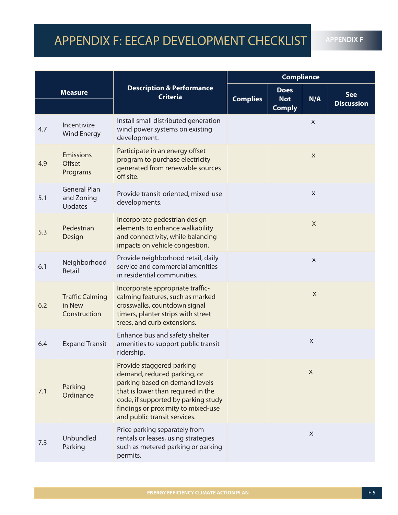## APPENDIX F: EECAP DEVELOPMENT CHECKLIST

**APPENDIX F**

| <b>Measure</b> |                                                  | <b>Description &amp; Performance</b><br><b>Criteria</b>                                                                                                                                                                                       | <b>Compliance</b> |                                            |              |                                 |
|----------------|--------------------------------------------------|-----------------------------------------------------------------------------------------------------------------------------------------------------------------------------------------------------------------------------------------------|-------------------|--------------------------------------------|--------------|---------------------------------|
|                |                                                  |                                                                                                                                                                                                                                               | <b>Complies</b>   | <b>Does</b><br><b>Not</b><br><b>Comply</b> | N/A          | <b>See</b><br><b>Discussion</b> |
| 4.7            | Incentivize<br><b>Wind Energy</b>                | Install small distributed generation<br>wind power systems on existing<br>development.                                                                                                                                                        |                   |                                            | X            |                                 |
| 4.9            | <b>Emissions</b><br><b>Offset</b><br>Programs    | Participate in an energy offset<br>program to purchase electricity<br>generated from renewable sources<br>off site.                                                                                                                           |                   |                                            | $\mathsf{X}$ |                                 |
| 5.1            | <b>General Plan</b><br>and Zoning<br>Updates     | Provide transit-oriented, mixed-use<br>developments.                                                                                                                                                                                          |                   |                                            | X            |                                 |
| 5.3            | Pedestrian<br>Design                             | Incorporate pedestrian design<br>elements to enhance walkability<br>and connectivity, while balancing<br>impacts on vehicle congestion.                                                                                                       |                   |                                            | X            |                                 |
| 6.1            | Neighborhood<br>Retail                           | Provide neighborhood retail, daily<br>service and commercial amenities<br>in residential communities.                                                                                                                                         |                   |                                            | $\mathsf{X}$ |                                 |
| 6.2            | <b>Traffic Calming</b><br>in New<br>Construction | Incorporate appropriate traffic-<br>calming features, such as marked<br>crosswalks, countdown signal<br>timers, planter strips with street<br>trees, and curb extensions.                                                                     |                   |                                            | $\mathsf{X}$ |                                 |
| 6.4            | <b>Expand Transit</b>                            | Enhance bus and safety shelter<br>amenities to support public transit<br>ridership.                                                                                                                                                           |                   |                                            | X            |                                 |
| 7.1            | Parking<br>Ordinance                             | Provide staggered parking<br>demand, reduced parking, or<br>parking based on demand levels<br>that is lower than required in the<br>code, if supported by parking study<br>findings or proximity to mixed-use<br>and public transit services. |                   |                                            | $\mathsf X$  |                                 |
| 7.3            | Unbundled<br>Parking                             | Price parking separately from<br>rentals or leases, using strategies<br>such as metered parking or parking<br>permits.                                                                                                                        |                   |                                            | $\times$     |                                 |